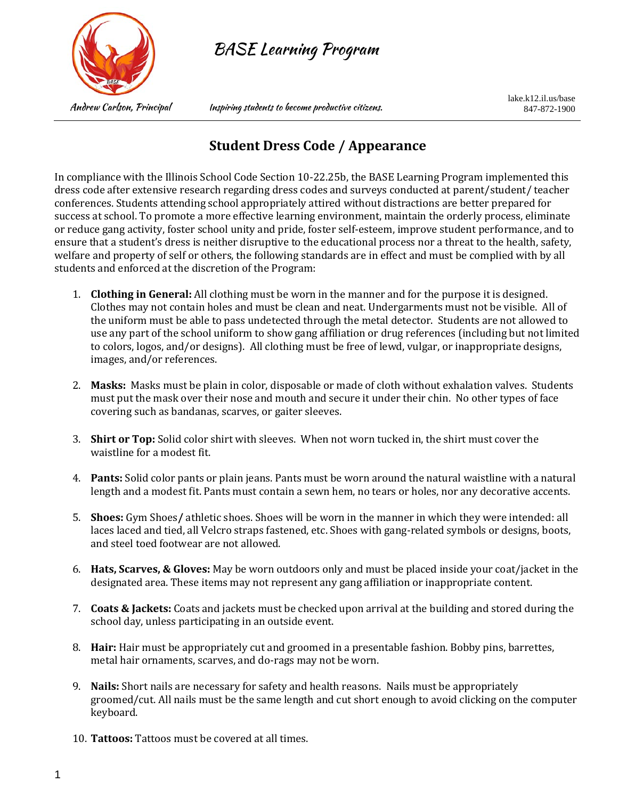

BASE Learning Program

Andrew Carlson, Principal Inspiring students to become productive citizens.

lake.k12.il.us/base 847-872-1900

## **Student Dress Code / Appearance**

In compliance with the Illinois School Code Section 10-22.25b, the BASE Learning Program implemented this dress code after extensive research regarding dress codes and surveys conducted at parent/student/ teacher conferences. Students attending school appropriately attired without distractions are better prepared for success at school. To promote a more effective learning environment, maintain the orderly process, eliminate or reduce gang activity, foster school unity and pride, foster self-esteem, improve student performance, and to ensure that a student's dress is neither disruptive to the educational process nor a threat to the health, safety, welfare and property of self or others, the following standards are in effect and must be complied with by all students and enforced at the discretion of the Program:

- 1. **Clothing in General:** All clothing must be worn in the manner and for the purpose it is designed. Clothes may not contain holes and must be clean and neat. Undergarments must not be visible. All of the uniform must be able to pass undetected through the metal detector. Students are not allowed to use any part of the school uniform to show gang affiliation or drug references (including but not limited to colors, logos, and/or designs). All clothing must be free of lewd, vulgar, or inappropriate designs, images, and/or references.
- 2. **Masks:** Masks must be plain in color, disposable or made of cloth without exhalation valves. Students must put the mask over their nose and mouth and secure it under their chin. No other types of face covering such as bandanas, scarves, or gaiter sleeves.
- 3. **Shirt or Top:** Solid color shirt with sleeves. When not worn tucked in, the shirt must cover the waistline for a modest fit.
- 4. **Pants:** Solid color pants or plain jeans. Pants must be worn around the natural waistline with a natural length and a modest fit. Pants must contain a sewn hem, no tears or holes, nor any decorative accents.
- 5. **Shoes:** Gym Shoes**/** athletic shoes. Shoes will be worn in the manner in which they were intended: all laces laced and tied, all Velcro straps fastened, etc. Shoes with gang-related symbols or designs, boots, and steel toed footwear are not allowed.
- 6. **Hats, Scarves, & Gloves:** May be worn outdoors only and must be placed inside your coat/jacket in the designated area. These items may not represent any gang affiliation or inappropriate content.
- 7. **Coats & Jackets:** Coats and jackets must be checked upon arrival at the building and stored during the school day, unless participating in an outside event.
- 8. **Hair:** Hair must be appropriately cut and groomed in a presentable fashion. Bobby pins, barrettes, metal hair ornaments, scarves, and do-rags may not be worn.
- 9. **Nails:** Short nails are necessary for safety and health reasons. Nails must be appropriately groomed/cut. All nails must be the same length and cut short enough to avoid clicking on the computer keyboard.
- 10. **Tattoos:** Tattoos must be covered at all times.